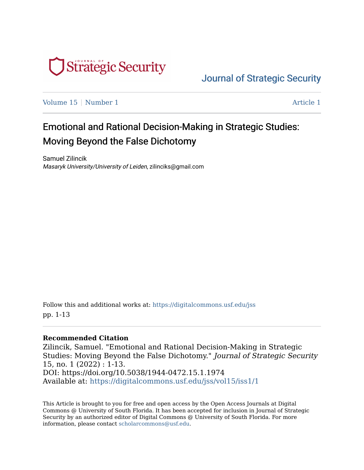

[Journal of Strategic Security](https://digitalcommons.usf.edu/jss) 

[Volume 15](https://digitalcommons.usf.edu/jss/vol15) | [Number 1](https://digitalcommons.usf.edu/jss/vol15/iss1) Article 1

## Emotional and Rational Decision-Making in Strategic Studies: Moving Beyond the False Dichotomy

Samuel Zilincik Masaryk University/University of Leiden, zilinciks@gmail.com

Follow this and additional works at: [https://digitalcommons.usf.edu/jss](https://digitalcommons.usf.edu/jss?utm_source=digitalcommons.usf.edu%2Fjss%2Fvol15%2Fiss1%2F1&utm_medium=PDF&utm_campaign=PDFCoverPages) pp. 1-13

#### **Recommended Citation**

Zilincik, Samuel. "Emotional and Rational Decision-Making in Strategic Studies: Moving Beyond the False Dichotomy." Journal of Strategic Security 15, no. 1 (2022) : 1-13. DOI: https://doi.org/10.5038/1944-0472.15.1.1974 Available at: [https://digitalcommons.usf.edu/jss/vol15/iss1/1](https://digitalcommons.usf.edu/jss/vol15/iss1/1?utm_source=digitalcommons.usf.edu%2Fjss%2Fvol15%2Fiss1%2F1&utm_medium=PDF&utm_campaign=PDFCoverPages) 

This Article is brought to you for free and open access by the Open Access Journals at Digital Commons @ University of South Florida. It has been accepted for inclusion in Journal of Strategic Security by an authorized editor of Digital Commons @ University of South Florida. For more information, please contact [scholarcommons@usf.edu.](mailto:scholarcommons@usf.edu)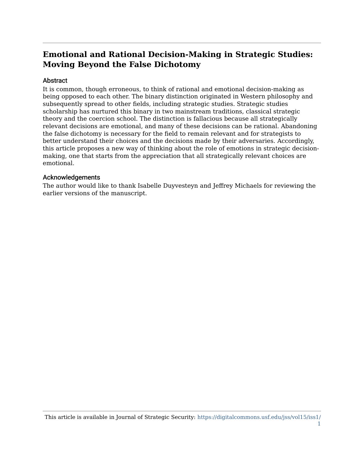## **Emotional and Rational Decision-Making in Strategic Studies: Moving Beyond the False Dichotomy**

#### Abstract

It is common, though erroneous, to think of rational and emotional decision-making as being opposed to each other. The binary distinction originated in Western philosophy and subsequently spread to other fields, including strategic studies. Strategic studies scholarship has nurtured this binary in two mainstream traditions, classical strategic theory and the coercion school. The distinction is fallacious because all strategically relevant decisions are emotional, and many of these decisions can be rational. Abandoning the false dichotomy is necessary for the field to remain relevant and for strategists to better understand their choices and the decisions made by their adversaries. Accordingly, this article proposes a new way of thinking about the role of emotions in strategic decisionmaking, one that starts from the appreciation that all strategically relevant choices are emotional.

#### Acknowledgements

The author would like to thank Isabelle Duyvesteyn and Jeffrey Michaels for reviewing the earlier versions of the manuscript.

This article is available in Journal of Strategic Security: [https://digitalcommons.usf.edu/jss/vol15/iss1/](https://digitalcommons.usf.edu/jss/vol15/iss1/1) [1](https://digitalcommons.usf.edu/jss/vol15/iss1/1)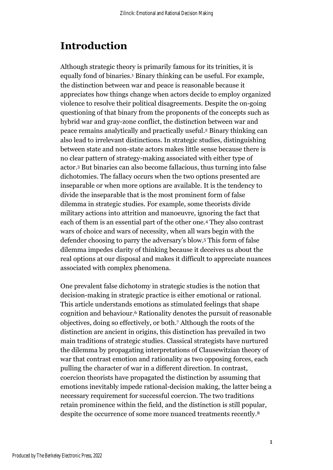# **Introduction**

Although strategic theory is primarily famous for its trinities, it is equally fond of binaries.<sup>1</sup> Binary thinking can be useful. For example, the distinction between war and peace is reasonable because it appreciates how things change when actors decide to employ organized violence to resolve their political disagreements. Despite the on-going questioning of that binary from the proponents of the concepts such as hybrid war and gray-zone conflict, the distinction between war and peace remains analytically and practically useful. <sup>2</sup> Binary thinking can also lead to irrelevant distinctions. In strategic studies, distinguishing between state and non-state actors makes little sense because there is no clear pattern of strategy-making associated with either type of actor. <sup>3</sup> But binaries can also become fallacious, thus turning into false dichotomies. The fallacy occurs when the two options presented are inseparable or when more options are available. It is the tendency to divide the inseparable that is the most prominent form of false dilemma in strategic studies. For example, some theorists divide military actions into attrition and manoeuvre, ignoring the fact that each of them is an essential part of the other one.<sup>4</sup> They also contrast wars of choice and wars of necessity, when all wars begin with the defender choosing to parry the adversary's blow.<sup>5</sup> This form of false dilemma impedes clarity of thinking because it deceives us about the real options at our disposal and makes it difficult to appreciate nuances associated with complex phenomena.

One prevalent false dichotomy in strategic studies is the notion that decision-making in strategic practice is either emotional or rational. This article understands emotions as stimulated feelings that shape cognition and behaviour.<sup>6</sup> Rationality denotes the pursuit of reasonable objectives, doing so effectively, or both.<sup>7</sup> Although the roots of the distinction are ancient in origins, this distinction has prevailed in two main traditions of strategic studies. Classical strategists have nurtured the dilemma by propagating interpretations of Clausewitzian theory of war that contrast emotion and rationality as two opposing forces, each pulling the character of war in a different direction. In contrast, coercion theorists have propagated the distinction by assuming that emotions inevitably impede rational-decision making, the latter being a necessary requirement for successful coercion. The two traditions retain prominence within the field, and the distinction is still popular, despite the occurrence of some more nuanced treatments recently.<sup>8</sup>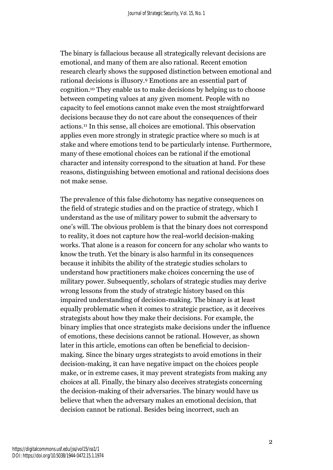The binary is fallacious because all strategically relevant decisions are emotional, and many of them are also rational. Recent emotion research clearly shows the supposed distinction between emotional and rational decisions is illusory.<sup>9</sup> Emotions are an essential part of cognition.<sup>10</sup> They enable us to make decisions by helping us to choose between competing values at any given moment. People with no capacity to feel emotions cannot make even the most straightforward decisions because they do not care about the consequences of their actions.<sup>11</sup> In this sense, all choices are emotional. This observation applies even more strongly in strategic practice where so much is at stake and where emotions tend to be particularly intense. Furthermore, many of these emotional choices can be rational if the emotional character and intensity correspond to the situation at hand. For these reasons, distinguishing between emotional and rational decisions does not make sense.

The prevalence of this false dichotomy has negative consequences on the field of strategic studies and on the practice of strategy, which I understand as the use of military power to submit the adversary to one's will. The obvious problem is that the binary does not correspond to reality, it does not capture how the real-world decision-making works. That alone is a reason for concern for any scholar who wants to know the truth. Yet the binary is also harmful in its consequences because it inhibits the ability of the strategic studies scholars to understand how practitioners make choices concerning the use of military power. Subsequently, scholars of strategic studies may derive wrong lessons from the study of strategic history based on this impaired understanding of decision-making. The binary is at least equally problematic when it comes to strategic practice, as it deceives strategists about how they make their decisions. For example, the binary implies that once strategists make decisions under the influence of emotions, these decisions cannot be rational. However, as shown later in this article, emotions can often be beneficial to decisionmaking. Since the binary urges strategists to avoid emotions in their decision-making, it can have negative impact on the choices people make, or in extreme cases, it may prevent strategists from making any choices at all. Finally, the binary also deceives strategists concerning the decision-making of their adversaries. The binary would have us believe that when the adversary makes an emotional decision, that decision cannot be rational. Besides being incorrect, such an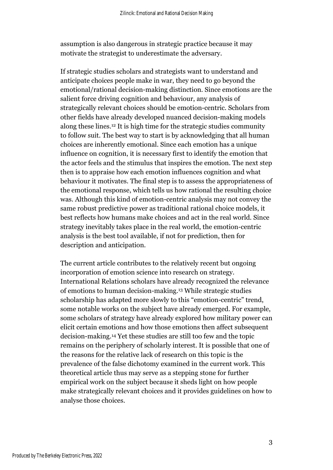assumption is also dangerous in strategic practice because it may motivate the strategist to underestimate the adversary.

If strategic studies scholars and strategists want to understand and anticipate choices people make in war, they need to go beyond the emotional/rational decision-making distinction. Since emotions are the salient force driving cognition and behaviour, any analysis of strategically relevant choices should be emotion-centric. Scholars from other fields have already developed nuanced decision-making models along these lines. <sup>12</sup> It is high time for the strategic studies community to follow suit. The best way to start is by acknowledging that all human choices are inherently emotional. Since each emotion has a unique influence on cognition, it is necessary first to identify the emotion that the actor feels and the stimulus that inspires the emotion. The next step then is to appraise how each emotion influences cognition and what behaviour it motivates. The final step is to assess the appropriateness of the emotional response, which tells us how rational the resulting choice was. Although this kind of emotion-centric analysis may not convey the same robust predictive power as traditional rational choice models, it best reflects how humans make choices and act in the real world. Since strategy inevitably takes place in the real world, the emotion-centric analysis is the best tool available, if not for prediction, then for description and anticipation.

The current article contributes to the relatively recent but ongoing incorporation of emotion science into research on strategy. International Relations scholars have already recognized the relevance of emotions to human decision-making. <sup>13</sup> While strategic studies scholarship has adapted more slowly to this "emotion-centric" trend, some notable works on the subject have already emerged. For example, some scholars of strategy have already explored how military power can elicit certain emotions and how those emotions then affect subsequent decision-making.<sup>14</sup> Yet these studies are still too few and the topic remains on the periphery of scholarly interest. It is possible that one of the reasons for the relative lack of research on this topic is the prevalence of the false dichotomy examined in the current work. This theoretical article thus may serve as a stepping stone for further empirical work on the subject because it sheds light on how people make strategically relevant choices and it provides guidelines on how to analyse those choices.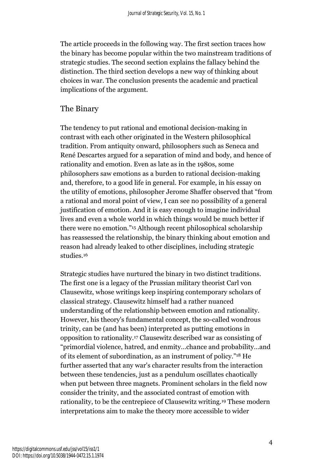The article proceeds in the following way. The first section traces how the binary has become popular within the two mainstream traditions of strategic studies. The second section explains the fallacy behind the distinction. The third section develops a new way of thinking about choices in war. The conclusion presents the academic and practical implications of the argument.

#### The Binary

The tendency to put rational and emotional decision-making in contrast with each other originated in the Western philosophical tradition. From antiquity onward, philosophers such as Seneca and René Descartes argued for a separation of mind and body, and hence of rationality and emotion. Even as late as in the 1980s, some philosophers saw emotions as a burden to rational decision-making and, therefore, to a good life in general. For example, in his essay on the utility of emotions, philosopher Jerome Shaffer observed that "from a rational and moral point of view, I can see no possibility of a general justification of emotion. And it is easy enough to imagine individual lives and even a whole world in which things would be much better if there were no emotion."<sup>15</sup> Although recent philosophical scholarship has reassessed the relationship, the binary thinking about emotion and reason had already leaked to other disciplines, including strategic studies<sup>16</sup>

Strategic studies have nurtured the binary in two distinct traditions. The first one is a legacy of the Prussian military theorist Carl von Clausewitz, whose writings keep inspiring contemporary scholars of classical strategy. Clausewitz himself had a rather nuanced understanding of the relationship between emotion and rationality. However, his theory's fundamental concept, the so-called wondrous trinity, can be (and has been) interpreted as putting emotions in opposition to rationality.<sup>17</sup> Clausewitz described war as consisting of "primordial violence, hatred, and enmity…chance and probability…and of its element of subordination, as an instrument of policy."<sup>18</sup> He further asserted that any war's character results from the interaction between these tendencies, just as a pendulum oscillates chaotically when put between three magnets. Prominent scholars in the field now consider the trinity, and the associated contrast of emotion with rationality, to be the centrepiece of Clausewitz writing.<sup>19</sup> These modern interpretations aim to make the theory more accessible to wider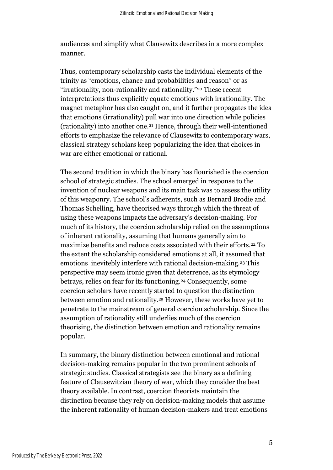audiences and simplify what Clausewitz describes in a more complex manner.

Thus, contemporary scholarship casts the individual elements of the trinity as "emotions, chance and probabilities and reason" or as "irrationality, non-rationality and rationality."<sup>20</sup> These recent interpretations thus explicitly equate emotions with irrationality. The magnet metaphor has also caught on, and it further propagates the idea that emotions (irrationality) pull war into one direction while policies (rationality) into another one.<sup>21</sup> Hence, through their well-intentioned efforts to emphasize the relevance of Clausewitz to contemporary wars, classical strategy scholars keep popularizing the idea that choices in war are either emotional or rational.

The second tradition in which the binary has flourished is the coercion school of strategic studies. The school emerged in response to the invention of nuclear weapons and its main task was to assess the utility of this weaponry. The school's adherents, such as Bernard Brodie and Thomas Schelling, have theorised ways through which the threat of using these weapons impacts the adversary's decision-making. For much of its history, the coercion scholarship relied on the assumptions of inherent rationality, assuming that humans generally aim to maximize benefits and reduce costs associated with their efforts. <sup>22</sup> To the extent the scholarship considered emotions at all, it assumed that emotions inevitebly interfere with rational decision-making.<sup>23</sup> This perspective may seem ironic given that deterrence, as its etymology betrays, relies on fear for its functioning.<sup>24</sup> Consequently, some coercion scholars have recently started to question the distinction between emotion and rationality.<sup>25</sup> However, these works have yet to penetrate to the mainstream of general coercion scholarship. Since the assumption of rationality still underlies much of the coercion theorising, the distinction between emotion and rationality remains popular.

In summary, the binary distinction between emotional and rational decision-making remains popular in the two prominent schools of strategic studies. Classical strategists see the binary as a defining feature of Clausewitzian theory of war, which they consider the best theory available. In contrast, coercion theorists maintain the distinction because they rely on decision-making models that assume the inherent rationality of human decision-makers and treat emotions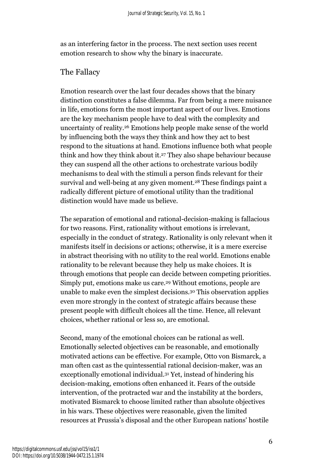as an interfering factor in the process. The next section uses recent emotion research to show why the binary is inaccurate.

## The Fallacy

Emotion research over the last four decades shows that the binary distinction constitutes a false dilemma. Far from being a mere nuisance in life, emotions form the most important aspect of our lives. Emotions are the key mechanism people have to deal with the complexity and uncertainty of reality.<sup>26</sup> Emotions help people make sense of the world by influencing both the ways they think and how they act to best respond to the situations at hand. Emotions influence both what people think and how they think about it.<sup>27</sup> They also shape behaviour because they can suspend all the other actions to orchestrate various bodily mechanisms to deal with the stimuli a person finds relevant for their survival and well-being at any given moment.<sup>28</sup> These findings paint a radically different picture of emotional utility than the traditional distinction would have made us believe.

The separation of emotional and rational-decision-making is fallacious for two reasons. First, rationality without emotions is irrelevant, especially in the conduct of strategy. Rationality is only relevant when it manifests itself in decisions or actions; otherwise, it is a mere exercise in abstract theorising with no utility to the real world. Emotions enable rationality to be relevant because they help us make choices. It is through emotions that people can decide between competing priorities. Simply put, emotions make us care.<sup>29</sup> Without emotions, people are unable to make even the simplest decisions.<sup>30</sup> This observation applies even more strongly in the context of strategic affairs because these present people with difficult choices all the time. Hence, all relevant choices, whether rational or less so, are emotional.

Second, many of the emotional choices can be rational as well. Emotionally selected objectives can be reasonable, and emotionally motivated actions can be effective. For example, Otto von Bismarck, a man often cast as the quintessential rational decision-maker, was an exceptionally emotional individual.<sup>31</sup> Yet, instead of hindering his decision-making, emotions often enhanced it. Fears of the outside intervention, of the protracted war and the instability at the borders, motivated Bismarck to choose limited rather than absolute objectives in his wars. These objectives were reasonable, given the limited resources at Prussia's disposal and the other European nations' hostile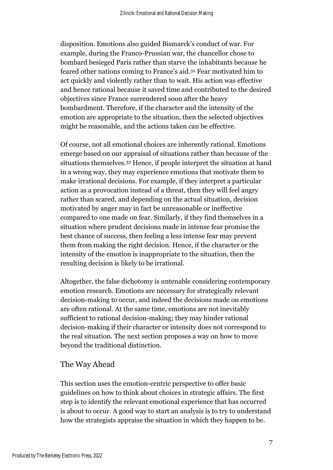disposition. Emotions also guided Bismarck's conduct of war. For example, during the Franco-Prussian war, the chancellor chose to bombard besieged Paris rather than starve the inhabitants because he feared other nations coming to France's aid.<sup>32</sup> Fear motivated him to act quickly and violently rather than to wait. His action was effective and hence rational because it saved time and contributed to the desired objectives since France surrendered soon after the heavy bombardment. Therefore, if the character and the intensity of the emotion are appropriate to the situation, then the selected objectives might be reasonable, and the actions taken can be effective.

Of course, not all emotional choices are inherently rational. Emotions emerge based on our appraisal of situations rather than because of the situations themselves.<sup>33</sup> Hence, if people interpret the situation at hand in a wrong way, they may experience emotions that motivate them to make irrational decisions. For example, if they interpret a particular action as a provocation instead of a threat, then they will feel angry rather than scared, and depending on the actual situation, decision motivated by anger may in fact be unreasonable or ineffective compared to one made on fear. Similarly, if they find themselves in a situation where prudent decisions made in intense fear promise the best chance of success, then feeling a less intense fear may prevent them from making the right decision. Hence, if the character or the intensity of the emotion is inappropriate to the situation, then the resulting decision is likely to be irrational.

Altogether, the false dichotomy is untenable considering contemporary emotion research. Emotions are necessary for strategically relevant decision-making to occur, and indeed the decisions made on emotions are often rational. At the same time, emotions are not inevitably sufficient to rational decision-making; they may hinder rational decision-making if their character or intensity does not correspond to the real situation. The next section proposes a way on how to move beyond the traditional distinction.

### The Way Ahead

This section uses the emotion-centric perspective to offer basic guidelines on how to think about choices in strategic affairs. The first step is to identify the relevant emotional experience that has occurred is about to occur. A good way to start an analysis is to try to understand how the strategists appraise the situation in which they happen to be.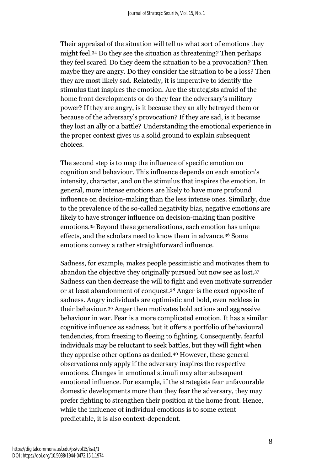Their appraisal of the situation will tell us what sort of emotions they might feel.<sup>34</sup> Do they see the situation as threatening? Then perhaps they feel scared. Do they deem the situation to be a provocation? Then maybe they are angry. Do they consider the situation to be a loss? Then they are most likely sad. Relatedly, it is imperative to identify the stimulus that inspires the emotion. Are the strategists afraid of the home front developments or do they fear the adversary's military power? If they are angry, is it because they an ally betrayed them or because of the adversary's provocation? If they are sad, is it because they lost an ally or a battle? Understanding the emotional experience in the proper context gives us a solid ground to explain subsequent choices.

The second step is to map the influence of specific emotion on cognition and behaviour. This influence depends on each emotion's intensity, character, and on the stimulus that inspires the emotion. In general, more intense emotions are likely to have more profound influence on decision-making than the less intense ones. Similarly, due to the prevalence of the so-called negativity bias, negative emotions are likely to have stronger influence on decision-making than positive emotions.<sup>35</sup> Beyond these generalizations, each emotion has unique effects, and the scholars need to know them in advance.<sup>36</sup> Some emotions convey a rather straightforward influence.

Sadness, for example, makes people pessimistic and motivates them to abandon the objective they originally pursued but now see as lost.<sup>37</sup> Sadness can then decrease the will to fight and even motivate surrender or at least abandonment of conquest.<sup>38</sup> Anger is the exact opposite of sadness. Angry individuals are optimistic and bold, even reckless in their behaviour.<sup>39</sup> Anger then motivates bold actions and aggressive behaviour in war. Fear is a more complicated emotion. It has a similar cognitive influence as sadness, but it offers a portfolio of behavioural tendencies, from freezing to fleeing to fighting. Consequently, fearful individuals may be reluctant to seek battles, but they will fight when they appraise other options as denied.<sup>40</sup> However, these general observations only apply if the adversary inspires the respective emotions. Changes in emotional stimuli may alter subsequent emotional influence. For example, if the strategists fear unfavourable domestic developments more than they fear the adversary, they may prefer fighting to strengthen their position at the home front. Hence, while the influence of individual emotions is to some extent predictable, it is also context-dependent.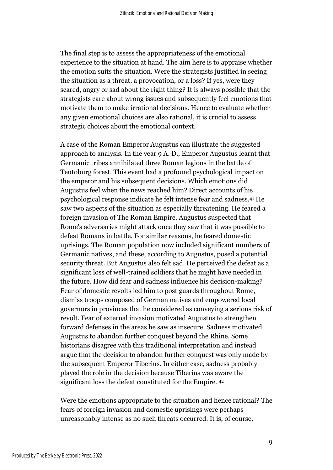The final step is to assess the appropriateness of the emotional experience to the situation at hand. The aim here is to appraise whether the emotion suits the situation. Were the strategists justified in seeing the situation as a threat, a provocation, or a loss? If yes, were they scared, angry or sad about the right thing? It is always possible that the strategists care about wrong issues and subsequently feel emotions that motivate them to make irrational decisions. Hence to evaluate whether any given emotional choices are also rational, it is crucial to assess strategic choices about the emotional context.

A case of the Roman Emperor Augustus can illustrate the suggested approach to analysis. In the year 9 A. D., Emperor Augustus learnt that Germanic tribes annihilated three Roman legions in the battle of Teutoburg forest. This event had a profound psychological impact on the emperor and his subsequent decisions. Which emotions did Augustus feel when the news reached him? Direct accounts of his psychological response indicate he felt intense fear and sadness.<sup>41</sup> He saw two aspects of the situation as especially threatening. He feared a foreign invasion of The Roman Empire. Augustus suspected that Rome's adversaries might attack once they saw that it was possible to defeat Romans in battle. For similar reasons, he feared domestic uprisings. The Roman population now included significant numbers of Germanic natives, and these, according to Augustus, posed a potential security threat. But Augustus also felt sad. He perceived the defeat as a significant loss of well-trained soldiers that he might have needed in the future. How did fear and sadness influence his decision-making? Fear of domestic revolts led him to post guards throughout Rome, dismiss troops composed of German natives and empowered local governors in provinces that he considered as conveying a serious risk of revolt. Fear of external invasion motivated Augustus to strengthen forward defenses in the areas he saw as insecure. Sadness motivated Augustus to abandon further conquest beyond the Rhine. Some historians disagree with this traditional interpretation and instead argue that the decision to abandon further conquest was only made by the subsequent Emperor Tiberius. In either case, sadness probably played the role in the decision because Tiberius was aware the significant loss the defeat constituted for the Empire. <sup>42</sup>

Were the emotions appropriate to the situation and hence rational? The fears of foreign invasion and domestic uprisings were perhaps unreasonably intense as no such threats occurred. It is, of course,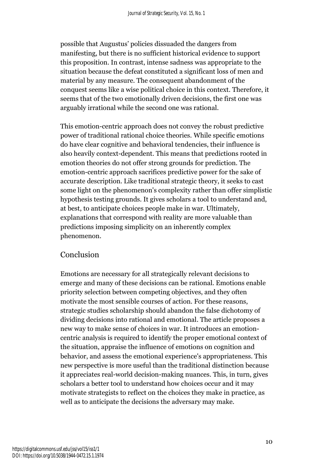possible that Augustus' policies dissuaded the dangers from manifesting, but there is no sufficient historical evidence to support this proposition. In contrast, intense sadness was appropriate to the situation because the defeat constituted a significant loss of men and material by any measure. The consequent abandonment of the conquest seems like a wise political choice in this context. Therefore, it seems that of the two emotionally driven decisions, the first one was arguably irrational while the second one was rational.

This emotion-centric approach does not convey the robust predictive power of traditional rational choice theories. While specific emotions do have clear cognitive and behavioral tendencies, their influence is also heavily context-dependent. This means that predictions rooted in emotion theories do not offer strong grounds for prediction. The emotion-centric approach sacrifices predictive power for the sake of accurate description. Like traditional strategic theory, it seeks to cast some light on the phenomenon's complexity rather than offer simplistic hypothesis testing grounds. It gives scholars a tool to understand and, at best, to anticipate choices people make in war. Ultimately, explanations that correspond with reality are more valuable than predictions imposing simplicity on an inherently complex phenomenon.

### Conclusion

Emotions are necessary for all strategically relevant decisions to emerge and many of these decisions can be rational. Emotions enable priority selection between competing objectives, and they often motivate the most sensible courses of action. For these reasons, strategic studies scholarship should abandon the false dichotomy of dividing decisions into rational and emotional. The article proposes a new way to make sense of choices in war. It introduces an emotioncentric analysis is required to identify the proper emotional context of the situation, appraise the influence of emotions on cognition and behavior, and assess the emotional experience's appropriateness. This new perspective is more useful than the traditional distinction because it appreciates real-world decision-making nuances. This, in turn, gives scholars a better tool to understand how choices occur and it may motivate strategists to reflect on the choices they make in practice, as well as to anticipate the decisions the adversary may make.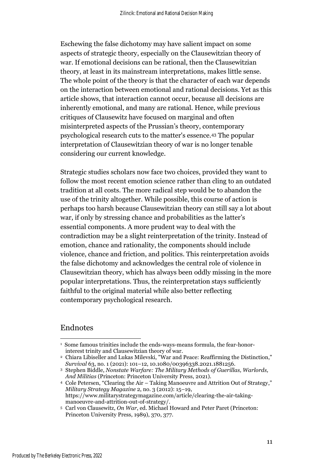Eschewing the false dichotomy may have salient impact on some aspects of strategic theory, especially on the Clausewitzian theory of war. If emotional decisions can be rational, then the Clausewitzian theory, at least in its mainstream interpretations, makes little sense. The whole point of the theory is that the character of each war depends on the interaction between emotional and rational decisions. Yet as this article shows, that interaction cannot occur, because all decisions are inherently emotional, and many are rational. Hence, while previous critiques of Clausewitz have focused on marginal and often misinterpreted aspects of the Prussian's theory, contemporary psychological research cuts to the matter's essence. <sup>43</sup> The popular interpretation of Clausewitzian theory of war is no longer tenable considering our current knowledge.

Strategic studies scholars now face two choices, provided they want to follow the most recent emotion science rather than cling to an outdated tradition at all costs. The more radical step would be to abandon the use of the trinity altogether. While possible, this course of action is perhaps too harsh because Clausewitzian theory can still say a lot about war, if only by stressing chance and probabilities as the latter's essential components. A more prudent way to deal with the contradiction may be a slight reinterpretation of the trinity. Instead of emotion, chance and rationality, the components should include violence, chance and friction, and politics. This reinterpretation avoids the false dichotomy and acknowledges the central role of violence in Clausewitzian theory, which has always been oddly missing in the more popular interpretations. Thus, the reinterpretation stays sufficiently faithful to the original material while also better reflecting contemporary psychological research.

#### Endnotes

<sup>4</sup> Cole Petersen, "Clearing the Air – Taking Manoeuvre and Attrition Out of Strategy," *Military Strategy Magazine* 2, no. 3 (2012): 15–19, https://www.militarystrategymagazine.com/article/clearing-the-air-takingmanoeuvre-and-attrition-out-of-strategy/.

<sup>&</sup>lt;sup>1</sup> Some famous trinities include the ends-ways-means formula, the fear-honorinterest trinity and Clausewitzian theory of war.

<sup>2</sup> Chiara Libiseller and Lukas Milevski, "War and Peace: Reaffirming the Distinction," *Survival* 63, no. 1 (2021): 101–12, 10.1080/00396338.2021.1881256.

<sup>3</sup> Stephen Biddle, *Nonstate Warfare: The Military Methods of Guerillas, Warlords, And Militias* (Princeton: Princeton University Press, 2021).

<sup>5</sup> Carl von Clausewitz, *On War*, ed. Michael Howard and Peter Paret (Princeton: Princeton University Press, 1989), 370, 377.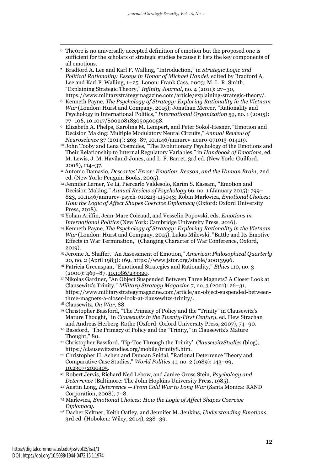- <sup>6</sup> The0re is no universally accepted definition of emotion but the proposed one is sufficient for the scholars of strategic studies because it lists the key components of all emotions.
- <sup>7</sup> Bradford A. Lee and Karl F. Walling, "Introduction," in *Strategic Logic and Political Rationality: Essays in Honor of Michael Handel*, edited by Bradford A. Lee and Karl F. Walling, 1–25. Lonon: Frank Cass, 2003; M. L. R. Smith, "Explaining Strategic Theory," *Infinity Journal*, no. 4 (2011): 27–30, https://www.militarystrategymagazine.com/article/explaining-strategic-theory/.
- <sup>8</sup> Kenneth Payne, *The Psychology of Strategy: Exploring Rationality in the Vietnam War* (London: Hurst and Company, 2015); Jonathan Mercer, "Rationality and Psychology in International Politics," *International Organization* 59, no. 1 (2005): 77–106, 10.1017/S0020818305050058.

<sup>9</sup> Elizabeth A. Phelps, Karolina M. Lempert, and Peter Sokol-Hesner, "Emotion and Decision Making: Multiple Modulatory Neural Circuits," *Annual Review of Neuroscience* 37 (2014): 263–87, 10.1146/annurev-neuro-071013-014119.

- <sup>10</sup> John Tooby and Lena Cosmides, "The Evolutionary Psychology of the Emotions and Their Relationship to Internal Regulatory Variables," in *Handbook of Emotions*, ed. M. Lewis, J. M. Haviland-Jones, and L. F. Barret, 3rd ed. (New York: Guilford, 2008), 114–37.
- <sup>11</sup> Antonio Damasio, *Descartes' Error: Emotion, Reason, and the Human Brain*, 2nd ed. (New York: Penguin Books, 2005).
- <sup>12</sup> Jennifer Lerner, Ye Li, Piercarlo Valdesolo, Karim S. Kassam, "Emotion and Decision Making," *Annual Review of Psychology* 66, no. 1 (January 2015): 799– 823, 10.1146/annurev-psych-010213-115043; Robin Markwica, *Emotional Choices: How the Logic of Affect Shapes Coercive Diplomacy* (Oxford: Oxford University Press, 2018).
- <sup>13</sup> Yohan Ariffin, Jean-Marc Coicaud, and Vesselin Popovski, eds. *Emotions in International Politics* (New York: Cambridge University Press, 2016).
- <sup>14</sup> Kenneth Payne, *The Psychology of Strategy: Exploring Rationality in the Vietnam War* (London: Hurst and Company, 2015). Lukas Milevski, "Battle and Its Emotive Effects in War Termination," (Changing Character of War Conference, Oxford, 2019).
- <sup>15</sup> Jerome A. Shaffer, "An Assessment of Emotion," *American Philosophical Quarterly* 20, no. 2 (April 1983): 169, https://www.jstor.org/stable/20013996.
- <sup>16</sup> Patricia Greenspan, "Emotional Strategies and Rationality," *Ethics* 110, no. 3 (2000): 469–87, 10.1086/233320.
- <sup>17</sup> Nikolas Gardner, "An Object Suspended Between Three Magnets? A Closer Look at Clausewitz's Trinity," *Military Strategy Magazine* 7, no. 3 (2021): 26–31, https://www.militarystrategymagazine.com/article/an-object-suspended-betweenthree-magnets-a-closer-look-at-clausewitzs-trinity/.
- <sup>18</sup> Clausewitz, *On War*, 88.
- <sup>19</sup> Christopher Bassford, "The Primacy of Policy and the "Trinity" in Clausewitz's Mature Thought," in *Clausewitz in the Twenty-First Century*, ed. Hew Strachan and Andreas Herberg-Rothe (Oxford: Oxford University Press, 2007), 74–90.
- <sup>20</sup> Bassford, "The Primacy of Policy and the "Trinity," in Clausewitz's Mature Thought," 80.
- <sup>21</sup> Christopher Bassford, 'Tip-Toe Through the Trinity', *ClausewitzStudies* (blog), https://clausewitzstudies.org/mobile/trinity8.htm.
- <sup>22</sup> Christopher H. Achen and Duncan Snidal, "Rational Deterrence Theory and Comparative Case Studies," *World Politics* 41, no. 2 (1989): 143–69, 10.2307/2010405.
- <sup>23</sup> Robert Jervis, Richard Ned Lebow, and Janice Gross Stein, *Psychology and Deterrence* (Baltimore: The John Hopkins University Press, 1985).
- <sup>24</sup> Austin Long, *Deterrence -- From Cold War to Long War* (Santa Monica: RAND Corporation, 2008), 7–8.
- <sup>25</sup> Markwica, *Emotional Choices: How the Logic of Affect Shapes Coercive Diplomacy*.
- <sup>26</sup> Dacher Keltner, Keith Oatley, and Jennifer M. Jenkins, *Understanding Emotions*, 3rd ed. (Hoboken: Wiley, 2014), 238–39.